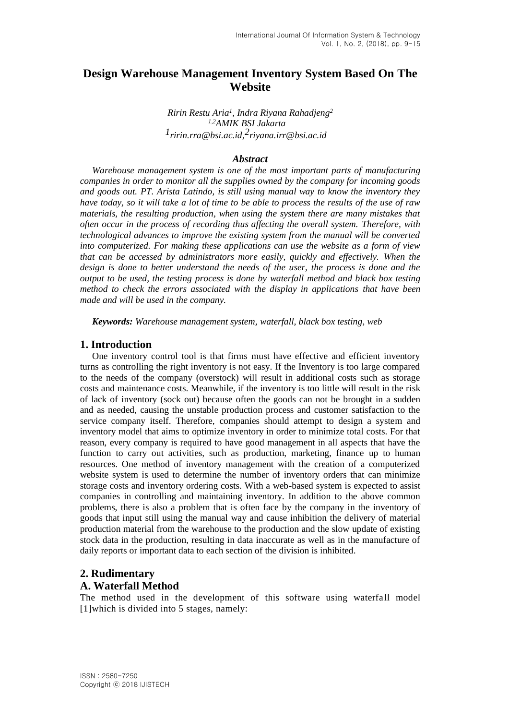# **Design Warehouse Management Inventory System Based On The Website**

*Ririn Restu Aria<sup>1</sup> , Indra Riyana Rahadjeng 2 1,2AMIK BSI Jakarta [1ririn.rra@bsi.ac.id,](mailto:dicky@nusa.net.id) 2riyana.irr@bsi.ac.id*

#### *Abstract*

*Warehouse management system is one of the most important parts of manufacturing companies in order to monitor all the supplies owned by the company for incoming goods and goods out. PT. Arista Latindo, is still using manual way to know the inventory they have today, so it will take a lot of time to be able to process the results of the use of raw materials, the resulting production, when using the system there are many mistakes that often occur in the process of recording thus affecting the overall system. Therefore, with technological advances to improve the existing system from the manual will be converted into computerized. For making these applications can use the website as a form of view that can be accessed by administrators more easily, quickly and effectively. When the design is done to better understand the needs of the user, the process is done and the output to be used, the testing process is done by waterfall method and black box testing method to check the errors associated with the display in applications that have been made and will be used in the company.*

*Keywords: Warehouse management system, waterfall, black box testing, web*

#### **1. Introduction**

One inventory control tool is that firms must have effective and efficient inventory turns as controlling the right inventory is not easy. If the Inventory is too large compared to the needs of the company (overstock) will result in additional costs such as storage costs and maintenance costs. Meanwhile, if the inventory is too little will result in the risk of lack of inventory (sock out) because often the goods can not be brought in a sudden and as needed, causing the unstable production process and customer satisfaction to the service company itself. Therefore, companies should attempt to design a system and inventory model that aims to optimize inventory in order to minimize total costs. For that reason, every company is required to have good management in all aspects that have the function to carry out activities, such as production, marketing, finance up to human resources. One method of inventory management with the creation of a computerized website system is used to determine the number of inventory orders that can minimize storage costs and inventory ordering costs. With a web-based system is expected to assist companies in controlling and maintaining inventory. In addition to the above common problems, there is also a problem that is often face by the company in the inventory of goods that input still using the manual way and cause inhibition the delivery of material production material from the warehouse to the production and the slow update of existing stock data in the production, resulting in data inaccurate as well as in the manufacture of daily reports or important data to each section of the division is inhibited.

## **2. Rudimentary**

#### **A. Waterfall Method**

The method used in the development of this software using waterfall model [1] which is divided into 5 stages, namely: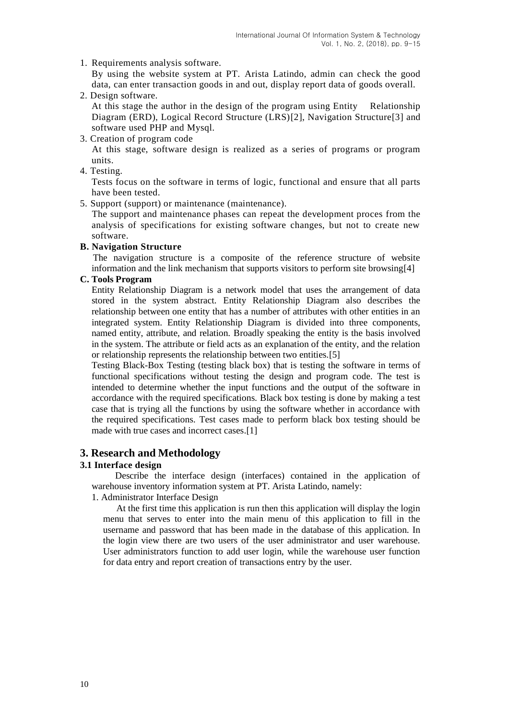1. Requirements analysis software.

By using the website system at PT. Arista Latindo, admin can check the good data, can enter transaction goods in and out, display report data of goods overall. 2. Design software.

At this stage the author in the design of the program using Entity Relationship Diagram (ERD), Logical Record Structure (LRS)[2], Navigation Structure[3] and software used PHP and Mysql.

3. Creation of program code

 At this stage, software design is realized as a series of programs or program units.

4. Testing.

Tests focus on the software in terms of logic, functional and ensure that all parts have been tested.

5. Support (support) or maintenance (maintenance).

 The support and maintenance phases can repeat the development proces from the analysis of specifications for existing software changes, but not to create new software.

#### **B. Navigation Structure**

 The navigation structure is a composite of the reference structure of website information and the link mechanism that supports visitors to perform site browsing[4]

### **C. Tools Program**

Entity Relationship Diagram is a network model that uses the arrangement of data stored in the system abstract. Entity Relationship Diagram also describes the relationship between one entity that has a number of attributes with other entities in an integrated system. Entity Relationship Diagram is divided into three components, named entity, attribute, and relation. Broadly speaking the entity is the basis involved in the system. The attribute or field acts as an explanation of the entity, and the relation or relationship represents the relationship between two entities.[5]

Testing Black-Box Testing (testing black box) that is testing the software in terms of functional specifications without testing the design and program code. The test is intended to determine whether the input functions and the output of the software in accordance with the required specifications. Black box testing is done by making a test case that is trying all the functions by using the software whether in accordance with the required specifications. Test cases made to perform black box testing should be made with true cases and incorrect cases.[1]

#### **3. Research and Methodology**

#### **3.1 Interface design**

 Describe the interface design (interfaces) contained in the application of warehouse inventory information system at PT. Arista Latindo, namely:

1. Administrator Interface Design

At the first time this application is run then this application will display the login menu that serves to enter into the main menu of this application to fill in the username and password that has been made in the database of this application. In the login view there are two users of the user administrator and user warehouse. User administrators function to add user login, while the warehouse user function for data entry and report creation of transactions entry by the user.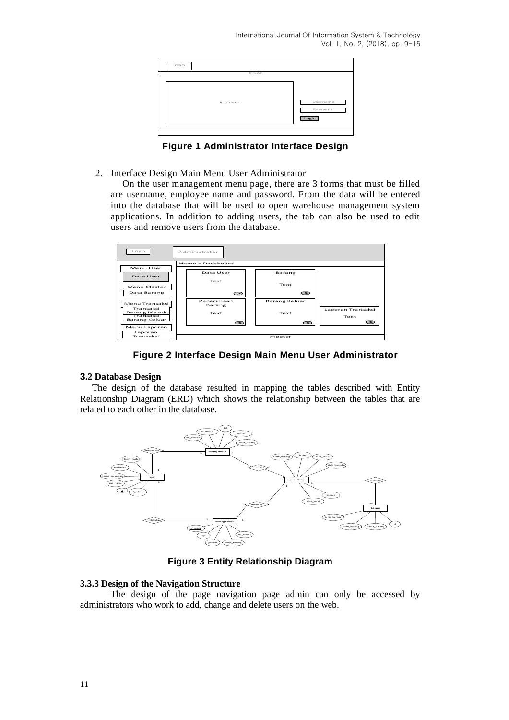International Journal Of Information System & Technology Vol. 1, No. 2, (2018), pp. 9-15

| LOGO     |                               |
|----------|-------------------------------|
| #TEXT    |                               |
| #content | Username<br>Password<br>Login |

**Figure 1 Administrator Interface Design**

2. Interface Design Main Menu User Administrator

On the user management menu page, there are 3 forms that must be filled are username, employee name and password. From the data will be entered into the database that will be used to open warehouse management system applications. In addition to adding users, the tab can also be used to edit users and remove users from the database.

| Logo                                                           | Administrator        |               |                           |  |  |  |
|----------------------------------------------------------------|----------------------|---------------|---------------------------|--|--|--|
|                                                                | Home > Dashboard     |               |                           |  |  |  |
| Menu User<br>Data User                                         | Data User            | Barang        |                           |  |  |  |
| Menu Master                                                    | Text                 | Text          |                           |  |  |  |
| Data Barang                                                    | ✑                    | ✑             |                           |  |  |  |
| Menu Transaksi                                                 | Penerimaan<br>Barang | Barang Keluar |                           |  |  |  |
| Transaksi<br><b>Barang Masuk</b><br>Transaksi<br>Barang Keluar | Text                 | Text          | Laporan Transaksi<br>Text |  |  |  |
| Menu Laporan                                                   | $\sum$               | ✑             | ⊂≥                        |  |  |  |
| Laporan                                                        |                      |               |                           |  |  |  |
| Transaksi                                                      | #footer              |               |                           |  |  |  |

**Figure 2 Interface Design Main Menu User Administrator**

## **3.2 Database Design**

The design of the database resulted in mapping the tables described with Entity Relationship Diagram (ERD) which shows the relationship between the tables that are related to each other in the database.



**Figure 3 Entity Relationship Diagram**

#### **3.3.3 Design of the Navigation Structure**

The design of the page navigation page admin can only be accessed by administrators who work to add, change and delete users on the web.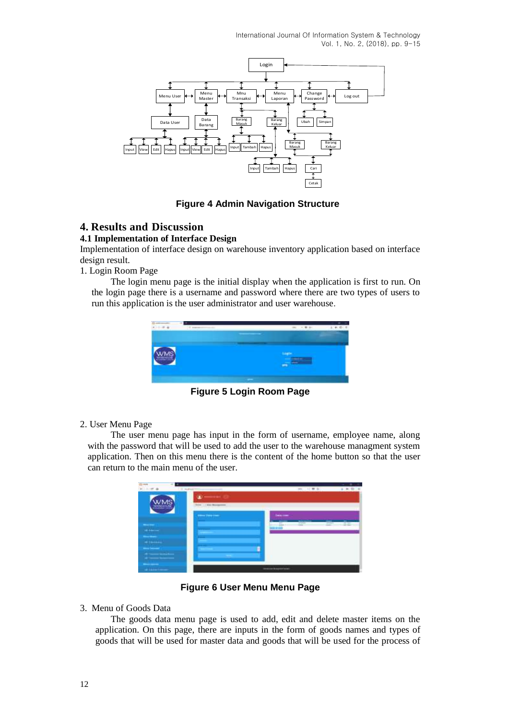

**Figure 4 Admin Navigation Structure** 

# **4. Results and Discussion**

#### **4.1 Implementation of Interface Design**

Implementation of interface design on warehouse inventory application based on interface design result.

1. Login Room Page

The login menu page is the initial display when the application is first to run. On the login page there is a username and password where there are two types of users to run this application is the user administrator and user warehouse.



**Figure 5 Login Room Page**

2. User Menu Page

The user menu page has input in the form of username, employee name, along with the password that will be used to add the user to the warehouse managment system application. Then on this menu there is the content of the home button so that the user can return to the main menu of the user.

| El ma<br>all out a                                                                                                                                           | ×<br><b>IT NAMES</b><br>$-1$                     |                                  | 地区地质                              |   | ÷<br>4 米 份 |
|--------------------------------------------------------------------------------------------------------------------------------------------------------------|--------------------------------------------------|----------------------------------|-----------------------------------|---|------------|
|                                                                                                                                                              | <b>COMMENT</b><br><b>ROD LIBRARY AND ARTISTS</b> |                                  |                                   |   |            |
| $\frac{1}{2} \left( \frac{1}{2} \right) \left( \frac{1}{2} \right) \left( \frac{1}{2} \right) \left( \frac{1}{2} \right)$                                    | <b>State Constitution</b>                        | <b>Dealers</b><br>$\overline{a}$ | <b>The Contract Contract</b><br>≕ | ≈ | 43         |
| <b>Hill Section</b><br>$- - -$                                                                                                                               |                                                  | --                               |                                   |   |            |
| <b>IN SECTION</b><br>$\frac{1}{2} \left( \frac{1}{2} \right) \left( \frac{1}{2} \right) \left( \frac{1}{2} \right) \left( \frac{1}{2} \right)$<br>____       |                                                  | s                                |                                   |   |            |
| $+ -$<br>$-$<br>$\frac{1}{2} \left( \frac{1}{2} \right) \left( \frac{1}{2} \right) \left( \frac{1}{2} \right) \left( \frac{1}{2} \right)$<br>of Live Course. | -                                                | <b>CONTRACTOR</b>                |                                   |   |            |

**Figure 6 User Menu Menu Page**

3. Menu of Goods Data

The goods data menu page is used to add, edit and delete master items on the application. On this page, there are inputs in the form of goods names and types of goods that will be used for master data and goods that will be used for the process of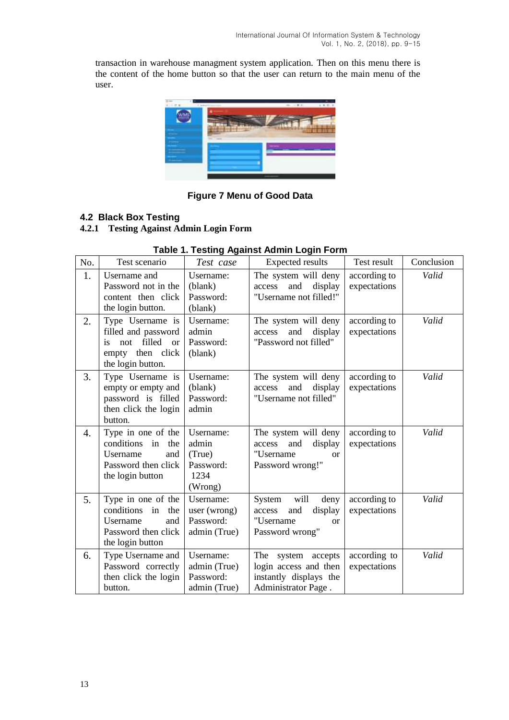transaction in warehouse managment system application. Then on this menu there is the content of the home button so that the user can return to the main menu of the user.



**Figure 7 Menu of Good Data**

# **4.2 Black Box Testing**

# **4.2.1 Testing Against Admin Login Form**

| No. | Test scenario                                                                                                           | Test case                                                    | <b>Expected results</b>                                                                             | Test result                  | Conclusion |
|-----|-------------------------------------------------------------------------------------------------------------------------|--------------------------------------------------------------|-----------------------------------------------------------------------------------------------------|------------------------------|------------|
| 1.  | Username and<br>Password not in the<br>content then click<br>the login button.                                          | Username:<br>(blank)<br>Password:<br>(blank)                 | The system will deny<br>access<br>and<br>display<br>"Username not filled!"                          | according to<br>expectations | Valid      |
| 2.  | Type Username is<br>filled and password<br>filled<br>not<br>$\alpha$<br>is.<br>then click<br>empty<br>the login button. | Username:<br>admin<br>Password:<br>(blank)                   | The system will deny<br>display<br>access<br>and<br>"Password not filled"                           | according to<br>expectations | Valid      |
| 3.  | Type Username is<br>empty or empty and<br>password is filled<br>then click the login<br>button.                         | Username:<br>(blank)<br>Password:<br>admin                   | The system will deny<br>display<br>access<br>and<br>"Username not filled"                           | according to<br>expectations | Valid      |
| 4.  | Type in one of the<br>conditions in<br>the<br>Username<br>and<br>Password then click<br>the login button                | Username:<br>admin<br>(True)<br>Password:<br>1234<br>(Wrong) | The system will deny<br>display<br>and<br>access<br>"Username<br><sub>or</sub><br>Password wrong!"  | according to<br>expectations | Valid      |
| 5.  | Type in one of the<br>conditions<br>in<br>the<br>Username<br>and<br>Password then click<br>the login button             | Username:<br>user (wrong)<br>Password:<br>admin (True)       | will<br>deny<br>System<br>display<br>access<br>and<br>"Username<br><sub>or</sub><br>Password wrong" | according to<br>expectations | Valid      |
| 6.  | Type Username and<br>Password correctly<br>then click the login<br>button.                                              | Username:<br>admin (True)<br>Password:<br>admin (True)       | The<br>system accepts<br>login access and then<br>instantly displays the<br>Administrator Page.     | according to<br>expectations | Valid      |

# **Table 1. Testing Against Admin Login Form**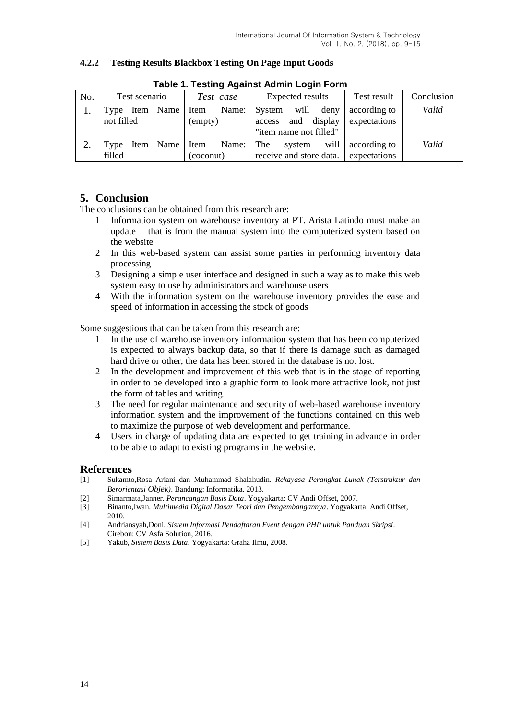| <b>Table 1. Testing Against Admin Login Form</b> |                                   |                  |                  |       |             |            |                                                           |                              |       |
|--------------------------------------------------|-----------------------------------|------------------|------------------|-------|-------------|------------|-----------------------------------------------------------|------------------------------|-------|
| No.                                              | Test scenario<br>Test case        |                  | Expected results |       | Test result | Conclusion |                                                           |                              |       |
|                                                  | Type Item Name Item<br>not filled |                  | (empty)          | Name: | access      |            | System will deny<br>and display<br>"item name not filled" | according to<br>expectations | Valid |
|                                                  | Type<br>filled                    | Item Name   Item | (coconut)        | Name: | The         | system     | will<br>receive and store data.                           | according to<br>expectations | Valid |

# **4.2.2 Testing Results Blackbox Testing On Page Input Goods**

# **5. Conclusion**

The conclusions can be obtained from this research are:

- 1 Information system on warehouse inventory at PT. Arista Latindo must make an update that is from the manual system into the computerized system based on the website
- 2 In this web-based system can assist some parties in performing inventory data processing
- 3 Designing a simple user interface and designed in such a way as to make this web system easy to use by administrators and warehouse users
- 4 With the information system on the warehouse inventory provides the ease and speed of information in accessing the stock of goods

Some suggestions that can be taken from this research are:

- 1 In the use of warehouse inventory information system that has been computerized is expected to always backup data, so that if there is damage such as damaged hard drive or other, the data has been stored in the database is not lost.
- 2 In the development and improvement of this web that is in the stage of reporting in order to be developed into a graphic form to look more attractive look, not just the form of tables and writing.
- 3 The need for regular maintenance and security of web-based warehouse inventory information system and the improvement of the functions contained on this web to maximize the purpose of web development and performance.
- 4 Users in charge of updating data are expected to get training in advance in order to be able to adapt to existing programs in the website.

## **References**

- [1] Sukamto,Rosa Ariani dan Muhammad Shalahudin. *Rekayasa Perangkat Lunak (Terstruktur dan Berorientasi Objek)*. Bandung: Informatika, 2013.
- [2] Simarmata,Janner. *Perancangan Basis Data*. Yogyakarta: CV Andi Offset, 2007.
- [3] Binanto,Iwan. *Multimedia Digital Dasar Teori dan Pengembangannya*. Yogyakarta: Andi Offset, 2010.
- [4] Andriansyah,Doni. *Sistem Informasi Pendaftaran Event dengan PHP untuk Panduan Skripsi*. Cirebon: CV Asfa Solution, 2016.
- [5] Yakub, *Sistem Basis Data*. Yogyakarta: Graha Ilmu, 2008.